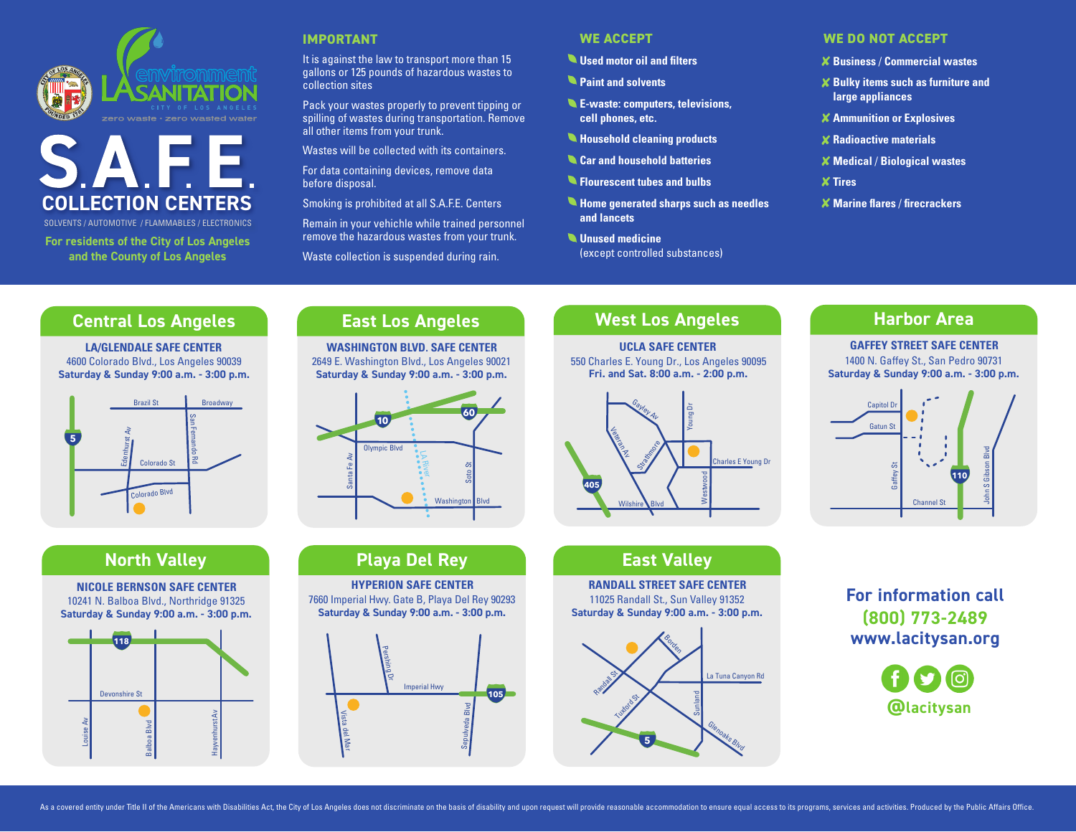



SOLVENTS / AUTOMOTIVE / FLAMMABLES / ELECTRONICS SOLVENTS / AUTOMOTIVE / FLAMMABLES / ELECTRONICS

**For residents of the City of Los Angeles and the County of Los Angeles**

#### **IMPORTANT**

It is against the law to transport more than 15 gallons or 125 pounds of hazardous wastes to collection sites

spilling of wastes during transportation. Remove Pack your wastes properly to prevent tipping or all other items from your trunk.

Wastes will be collected with its containers.<br>For data containing devices, remove data<br>befare dianesel For data containing devices, remove data<br>. before disposal.

Smoking is prohibited at all S.A.F.E. Centers

Remain in your vehichle while trained personnel remove the hazardous wastes from your trunk.

Fernandon averside the collection is suspended during rain.<br>Waste collection is suspended during rain.

#### **WE ACCEPT**

- **Used motor oil and filters**
- **Paint and solvents**
- **E-waste: computers, televisions, cell phones, etc.**
- **Household cleaning products**
- **Car and household batteries**
- **Flourescent tubes and bulbs**
- Edenhurst Av **Unused medicine**  San **Home generated sharps such as needles 5 and lancets**

LA River

(except controlled substances) Colorado St

Santa Fe Av

# Strathmore **WE DO NOT ACCEPT**

- a: **<sup>405</sup> <sup>118</sup> Business** / **Commercial wastes**
- **Bulky items such as furniture and large appliances**
- **Ammunition or Explosives**
- **Radioactive materials**
- **Medical** / **Biological wastes**
- **Tires**

Vista del Mar

 $X$  Marine flares / firecrackers

#### **Central Los Angeles** San

LA/GLENDALE SAFE CENTER<br>Colorado Blvd., Los Angeles 9 4600 Colorado Blvd., Los Angeles 90039 Saturday & Sunday 9:00 a.m. - 3:00 p.m.



# **East Los Angeles**

WASHINGTON BLVD. SAFE CENTER<br>9 E. Washington Blvd., Los Angeles 90 2649 E. Washington Blvd., Los Angeles 90021 **Saturday & Sunday 9:00 a.m. - 3:00 p.m.** 



### **West Los Angeles**

Soto St

550 Charles E. Young Dr., Los Angeles 90095 Charles E. Young Dr., Los Angeles 9<br>**Fri. and Sat. 8:00 a.m. - 2:00 p.m. UCLA SAFE CENTER**



### **East Valley**

**RANDALL STREET SAFE CENTER** 11025 Randall St., Sun Valley 91352 **Saturday & Sunday 9:00 a.m. - 3:00 p.m.** en<br>.<br>.



### **Harbor Area**

Sepulveda Blvd

**60**

#### **GAFFEY STREET SAFE CENTER** 1400 N. Gaffey St., San Pedro 90731  $\frac{1}{14}$



### **For information call (800) 773-2489 [www.lacitysan.org](http://www.lacitysan.org )** .<br>İd l<br>n



# Young Dr **North Valley**





**105**

**Playa Del Rey**<br>WREPION SAFE CENTE Santa Fe Av **HYPERION SAFE CENTER**

Olympic Blvd

Washington Blvd Imperial Hwy **105** 7660 Imperial Hwy. Gate B, Playa Del Rey 90293



Randall St